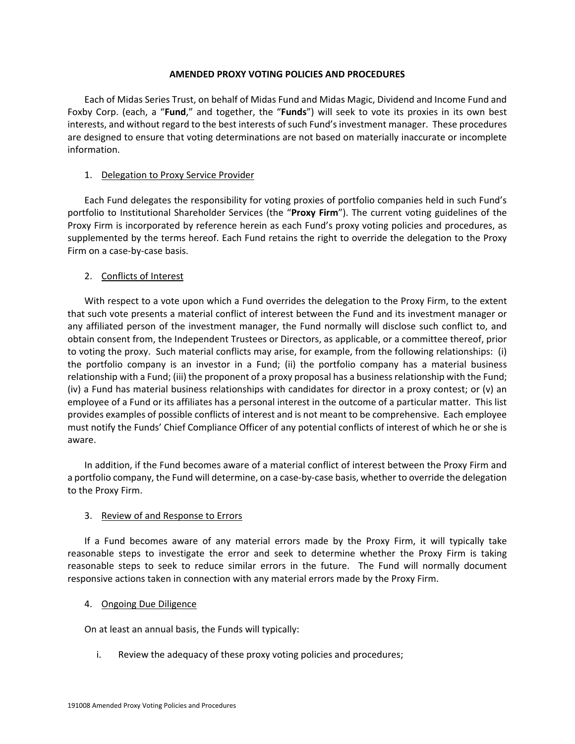### **AMENDED PROXY VOTING POLICIES AND PROCEDURES**

Each of Midas Series Trust, on behalf of Midas Fund and Midas Magic, Dividend and Income Fund and Foxby Corp. (each, a "**Fund**," and together, the "**Funds**") will seek to vote its proxies in its own best interests, and without regard to the best interests of such Fund's investment manager. These procedures are designed to ensure that voting determinations are not based on materially inaccurate or incomplete information.

### 1. Delegation to Proxy Service Provider

Each Fund delegates the responsibility for voting proxies of portfolio companies held in such Fund's portfolio to Institutional Shareholder Services (the "**Proxy Firm**"). The current voting guidelines of the Proxy Firm is incorporated by reference herein as each Fund's proxy voting policies and procedures, as supplemented by the terms hereof. Each Fund retains the right to override the delegation to the Proxy Firm on a case‐by‐case basis.

### 2. Conflicts of Interest

With respect to a vote upon which a Fund overrides the delegation to the Proxy Firm, to the extent that such vote presents a material conflict of interest between the Fund and its investment manager or any affiliated person of the investment manager, the Fund normally will disclose such conflict to, and obtain consent from, the Independent Trustees or Directors, as applicable, or a committee thereof, prior to voting the proxy. Such material conflicts may arise, for example, from the following relationships: (i) the portfolio company is an investor in a Fund; (ii) the portfolio company has a material business relationship with a Fund; (iii) the proponent of a proxy proposal has a business relationship with the Fund; (iv) a Fund has material business relationships with candidates for director in a proxy contest; or (v) an employee of a Fund or its affiliates has a personal interest in the outcome of a particular matter. This list provides examples of possible conflicts of interest and is not meant to be comprehensive. Each employee must notify the Funds' Chief Compliance Officer of any potential conflicts of interest of which he or she is aware.

In addition, if the Fund becomes aware of a material conflict of interest between the Proxy Firm and a portfolio company, the Fund will determine, on a case‐by‐case basis, whether to override the delegation to the Proxy Firm.

### 3. Review of and Response to Errors

If a Fund becomes aware of any material errors made by the Proxy Firm, it will typically take reasonable steps to investigate the error and seek to determine whether the Proxy Firm is taking reasonable steps to seek to reduce similar errors in the future. The Fund will normally document responsive actions taken in connection with any material errors made by the Proxy Firm.

### 4. Ongoing Due Diligence

On at least an annual basis, the Funds will typically:

i. Review the adequacy of these proxy voting policies and procedures;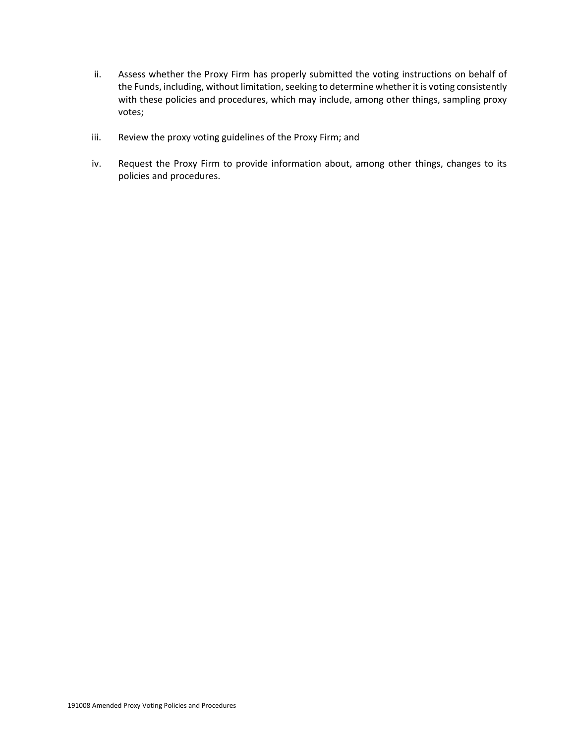- ii. Assess whether the Proxy Firm has properly submitted the voting instructions on behalf of the Funds, including, without limitation, seeking to determine whether it is voting consistently with these policies and procedures, which may include, among other things, sampling proxy votes;
- iii. Review the proxy voting guidelines of the Proxy Firm; and
- iv. Request the Proxy Firm to provide information about, among other things, changes to its policies and procedures.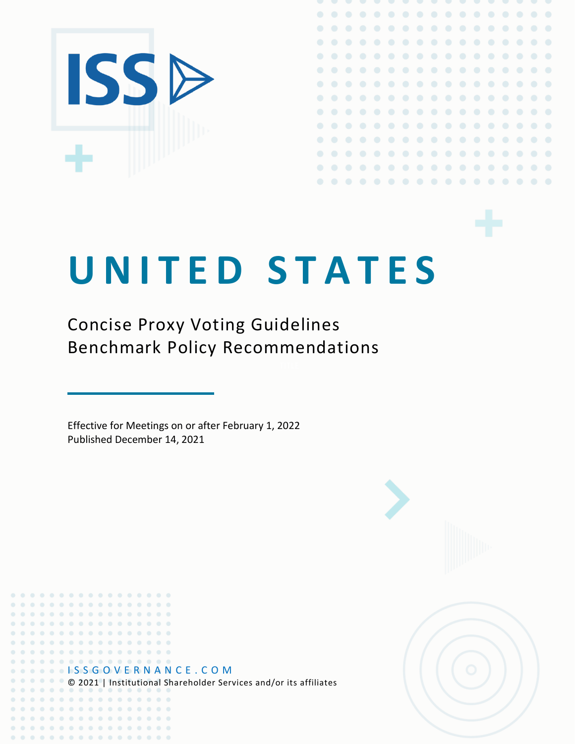



# **U N I T E D S T A T E S**

Concise Proxy Voting Guidelines Benchmark Policy Recommendations

Effective for Meetings on or after February 1, 2022 Published December 14, 2021



. . . . . . . . .  $0.0.0.0.$ 

> . . . . . . . . . . . . . . . .

**COL** . . . . . . . . . .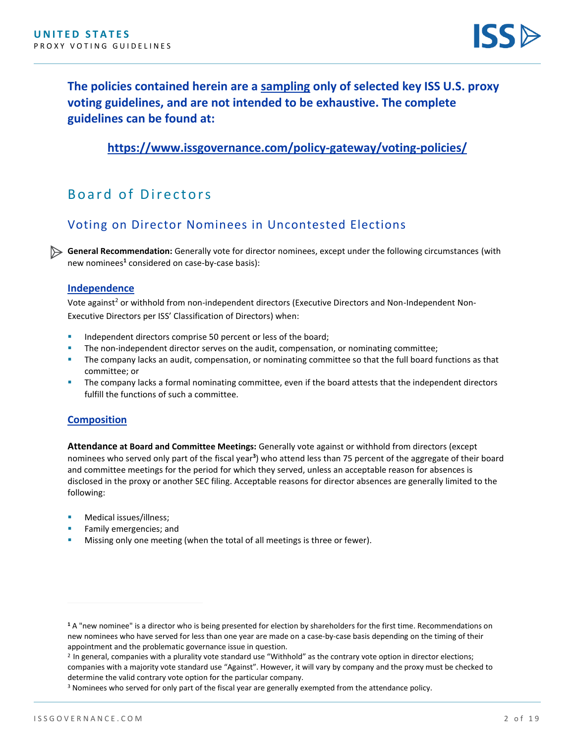

### **The policies contained herein are a sampling only of selected key ISS U.S. proxy voting guidelines, and are not intended to be exhaustive. The complete guidelines can be found at:**

**<https://www.issgovernance.com/policy-gateway/voting-policies/>**

# Board of Directors

## Voting on Director Nominees in Uncontested Elections

**General Recommendation:** Generally vote for director nominees, except under the following circumstances (with new nominees**<sup>1</sup>** considered on case-by-case basis):

### <span id="page-3-0"></span>**Independence**

Vote against<sup>2</sup> or withhold from non-independent directors (Executive Directors and Non-Independent Non-Executive Directors per ISS' Classification of Directors) when:

- Independent directors comprise 50 percent or less of the board;
- The non-independent director serves on the audit, compensation, or nominating committee;
- The company lacks an audit, compensation, or nominating committee so that the full board functions as that committee; or
- The company lacks a formal nominating committee, even if the board attests that the independent directors fulfill the functions of such a committee.

### **Composition**

**Attendance at Board and Committee Meetings:** Generally vote against or withhold from directors (except nominees who served only part of the fiscal year<sup>3</sup>) who attend less than 75 percent of the aggregate of their board and committee meetings for the period for which they served, unless an acceptable reason for absences is disclosed in the proxy or another SEC filing. Acceptable reasons for director absences are generally limited to the following:

- Medical issues/illness;
- Family emergencies; and
- Missing only one meeting (when the total of all meetings is three or fewer).

**<sup>1</sup>** A "new nominee" is a director who is being presented for election by shareholders for the first time. Recommendations on new nominees who have served for less than one year are made on a case-by-case basis depending on the timing of their appointment and the problematic governance issue in question.

<sup>&</sup>lt;sup>2</sup> In general, companies with a plurality vote standard use "Withhold" as the contrary vote option in director elections; companies with a majority vote standard use "Against". However, it will vary by company and the proxy must be checked to determine the valid contrary vote option for the particular company.

<sup>&</sup>lt;sup>3</sup> Nominees who served for only part of the fiscal year are generally exempted from the attendance policy.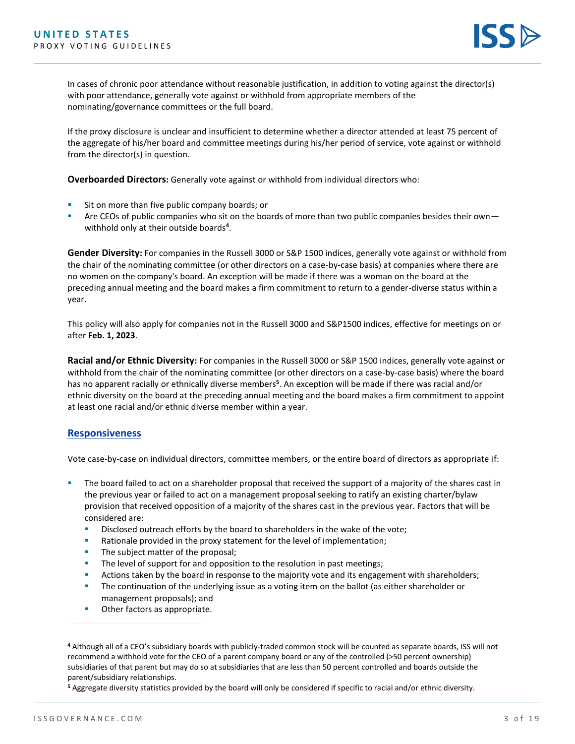In cases of chronic poor attendance without reasonable justification, in addition to voting against the director(s) with poor attendance, generally vote against or withhold from appropriate members of the nominating/governance committees or the full board.

If the proxy disclosure is unclear and insufficient to determine whether a director attended at least 75 percent of the aggregate of his/her board and committee meetings during his/her period of service, vote against or withhold from the director(s) in question.

**Overboarded Directors:** Generally vote against or withhold from individual directors who:

- Sit on more than five public company boards; or
- Are CEOs of public companies who sit on the boards of more than two public companies besides their own withhold only at their outside boards**<sup>4</sup>** .

**Gender Diversity:** For companies in the Russell 3000 or S&P 1500 indices, generally vote against or withhold from the chair of the nominating committee (or other directors on a case-by-case basis) at companies where there are no women on the company's board. An exception will be made if there was a woman on the board at the preceding annual meeting and the board makes a firm commitment to return to a gender-diverse status within a year.

This policy will also apply for companies not in the Russell 3000 and S&P1500 indices, effective for meetings on or after **Feb. 1, 2023**.

**Racial and/or Ethnic Diversity:** For companies in the Russell 3000 or S&P 1500 indices, generally vote against or withhold from the chair of the nominating committee (or other directors on a case-by-case basis) where the board has no apparent racially or ethnically diverse members**<sup>5</sup>** . An exception will be made if there was racial and/or ethnic diversity on the board at the preceding annual meeting and the board makes a firm commitment to appoint at least one racial and/or ethnic diverse member within a year.

### **Responsiveness**

Vote case-by-case on individual directors, committee members, or the entire board of directors as appropriate if:

- The board failed to act on a shareholder proposal that received the support of a majority of the shares cast in the previous year or failed to act on a management proposal seeking to ratify an existing charter/bylaw provision that received opposition of a majority of the shares cast in the previous year. Factors that will be considered are:
	- Disclosed outreach efforts by the board to shareholders in the wake of the vote;
	- Rationale provided in the proxy statement for the level of implementation;
	- **·** The subject matter of the proposal;
	- The level of support for and opposition to the resolution in past meetings;
	- Actions taken by the board in response to the majority vote and its engagement with shareholders;
	- **■** The continuation of the underlying issue as a voting item on the ballot (as either shareholder or management proposals); and
	- Other factors as appropriate.

**<sup>4</sup>** Although all of a CEO's subsidiary boards with publicly-traded common stock will be counted as separate boards, ISS will not recommend a withhold vote for the CEO of a parent company board or any of the controlled (>50 percent ownership) subsidiaries of that parent but may do so at subsidiaries that are less than 50 percent controlled and boards outside the parent/subsidiary relationships.

**<sup>5</sup>** Aggregate diversity statistics provided by the board will only be considered if specific to racial and/or ethnic diversity.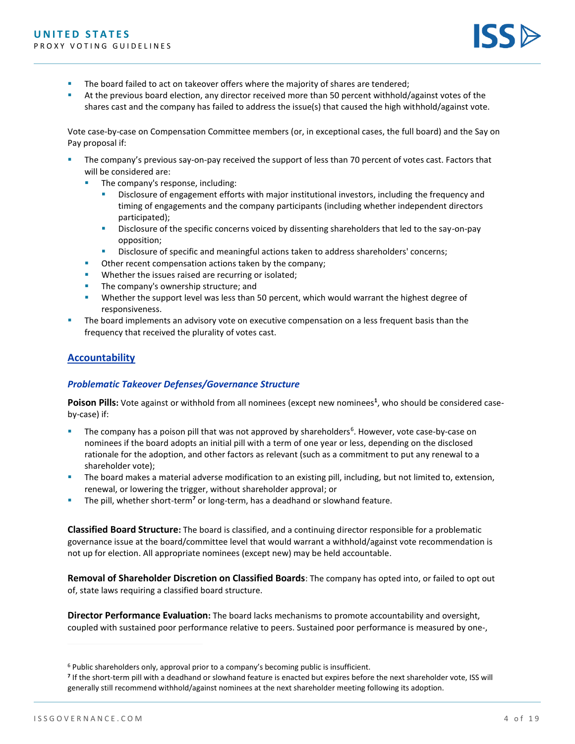- The board failed to act on takeover offers where the majority of shares are tendered;
- At the previous board election, any director received more than 50 percent withhold/against votes of the shares cast and the company has failed to address the issue(s) that caused the high withhold/against vote.

Vote case-by-case on Compensation Committee members (or, in exceptional cases, the full board) and the Say on Pay proposal if:

- The company's previous say-on-pay received the support of less than 70 percent of votes cast. Factors that will be considered are:
	- The company's response, including:
		- **EXEDENTIFY Disclosure of engagement efforts with major institutional investors, including the frequency and** timing of engagements and the company participants (including whether independent directors participated);
		- **EXECT** Disclosure of the specific concerns voiced by dissenting shareholders that led to the say-on-pay opposition;
		- Disclosure of specific and meaningful actions taken to address shareholders' concerns;
	- Other recent compensation actions taken by the company;
	- **■** Whether the issues raised are recurring or isolated;
	- **•** The company's ownership structure; and
	- Whether the support level was less than 50 percent, which would warrant the highest degree of responsiveness.
- The board implements an advisory vote on executive compensation on a less frequent basis than the frequency that received the plurality of votes cast.

### **Accountability**

### *Problematic Takeover Defenses/Governance Structure*

Poi[s](#page-3-0)on Pills: Vote against or withhold from all nominees (except new nominees<sup>1</sup>, who should be considered caseby-case) if:

- The company has a poison pill that was not approved by shareholders<sup>6</sup>. However, vote case-by-case on nominees if the board adopts an initial pill with a term of one year or less, depending on the disclosed rationale for the adoption, and other factors as relevant (such as a commitment to put any renewal to a shareholder vote);
- The board makes a material adverse modification to an existing pill, including, but not limited to, extension, renewal, or lowering the trigger, without shareholder approval; or
- The pill, whether short-term<sup>7</sup> or long-term, has a deadhand or slowhand feature.

**Classified Board Structure:** The board is classified, and a continuing director responsible for a problematic governance issue at the board/committee level that would warrant a withhold/against vote recommendation is not up for election. All appropriate nominees (except new) may be held accountable.

**Removal of Shareholder Discretion on Classified Boards**: The company has opted into, or failed to opt out of, state laws requiring a classified board structure.

**Director Performance Evaluation:** The board lacks mechanisms to promote accountability and oversight, coupled with sustained poor performance relative to peers. Sustained poor performance is measured by one-,

<sup>6</sup> Public shareholders only, approval prior to a company's becoming public is insufficient.

**<sup>7</sup>** If the short-term pill with a deadhand or slowhand feature is enacted but expires before the next shareholder vote, ISS will generally still recommend withhold/against nominees at the next shareholder meeting following its adoption.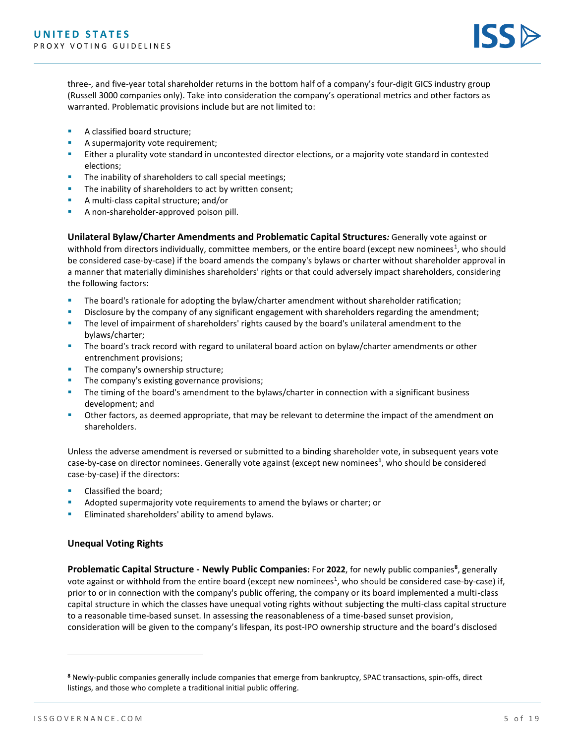three-, and five-year total shareholder returns in the bottom half of a company's four-digit GICS industry group (Russell 3000 companies only). Take into consideration the company's operational metrics and other factors as warranted. Problematic provisions include but are not limited to:

- A classified board structure:
- **EXECUTE:** A supermajority vote requirement;
- Either a plurality vote standard in uncontested director elections, or a majority vote standard in contested elections;
- The inability of shareholders to call special meetings;
- The inability of shareholders to act by written consent;
- A multi-class capital structure; and/or
- A non-shareholder-approved poison pill.

**Unilateral Bylaw/Charter Amendments and Problematic Capital Structures***:* Generally vote against or withhold from directors individually, committee members, or the entire board (except new nominees<sup>[1](#page-3-0)</sup>, who should be considered case-by-case) if the board amends the company's bylaws or charter without shareholder approval in a manner that materially diminishes shareholders' rights or that could adversely impact shareholders, considering the following factors:

- The board's rationale for adopting the bylaw/charter amendment without shareholder ratification;
- Disclosure by the company of any significant engagement with shareholders regarding the amendment;
- **■** The level of impairment of shareholders' rights caused by the board's unilateral amendment to the bylaws/charter;
- The board's track record with regard to unilateral board action on bylaw/charter amendments or other entrenchment provisions;
- The company's ownership structure;
- The company's existing governance provisions;
- The timing of the board's amendment to the bylaws/charter in connection with a significant business development; and
- Other factors, as deemed appropriate, that may be relevant to determine the impact of the amendment on shareholders.

Unless the adverse amendment is reversed or submitted to a binding shareholder vote, in subsequent years vote case-by-case on director nominees. Generally vote against (except new nominees**[1](#page-3-0)** , who should be considered case-by-case) if the directors:

- Classified the board;
- Adopted supermajority vote requirements to amend the bylaws or charter; or
- Eliminated shareholders' ability to amend bylaws.

### <span id="page-6-0"></span>**Unequal Voting Rights**

**Problematic Capital Structure - Newly Public Companies:** For **2022**, for newly public companies**<sup>8</sup>** , generally vote against or withhold from the entire board (except new nominees<sup>[1](#page-3-0)</sup>, who should be considered case-by-case) if, prior to or in connection with the company's public offering, the company or its board implemented a multi-class capital structure in which the classes have unequal voting rights without subjecting the multi-class capital structure to a reasonable time-based sunset. In assessing the reasonableness of a time-based sunset provision, consideration will be given to the company's lifespan, its post-IPO ownership structure and the board's disclosed

**<sup>8</sup>** Newly-public companies generally include companies that emerge from bankruptcy, SPAC transactions, spin-offs, direct listings, and those who complete a traditional initial public offering.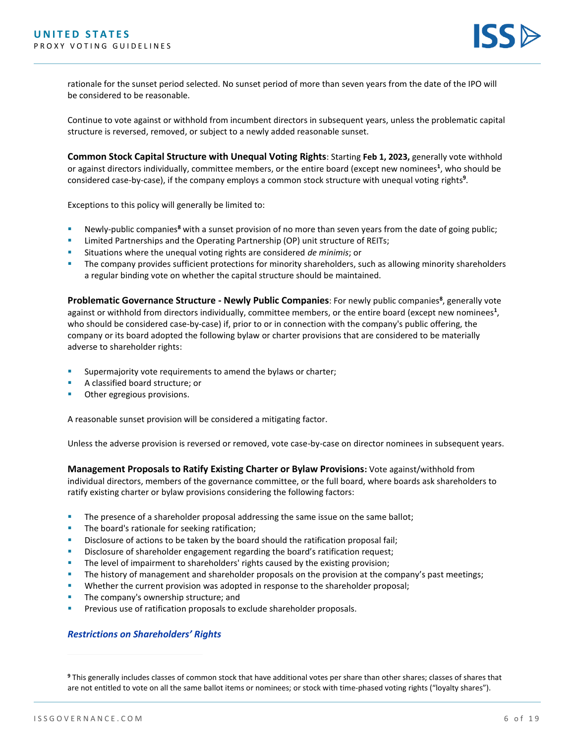rationale for the sunset period selected. No sunset period of more than seven years from the date of the IPO will be considered to be reasonable.

Continue to vote against or withhold from incumbent directors in subsequent years, unless the problematic capital structure is reversed, removed, or subject to a newly added reasonable sunset.

**Common Stock Capital Structure with Unequal Voting Rights**: Starting **Feb 1, 2023,** generally vote withhold or against directors individually, committee members, or the entire board (except new nominees<sup>[1](#page-3-0)</sup>, who should be considered case-by-case), if the company employs a common stock structure with unequal voting rights **9** .

Exceptions to this policy will generally be limited to:

- Newly-public companies<sup>[8](#page-6-0)</sup> with a sunset provision of no more than seven years from the date of going public;
- Limited Partnerships and the Operating Partnership (OP) unit structure of REITs;
- Situations where the unequal voting rights are considered *de minimis*; or
- The company provides sufficient protections for minority shareholders, such as allowing minority shareholders a regular binding vote on whether the capital structure should be maintained.

**Problematic Governance Structure - Newly Public Companies:** For newly public companies<sup>8</sup>[,](#page-6-0) generally vote against or withhold from directors individually[,](#page-3-0) committee members, or the entire board (except new nominees<sup>1</sup>, who should be considered case-by-case) if, prior to or in connection with the company's public offering, the company or its board adopted the following bylaw or charter provisions that are considered to be materially adverse to shareholder rights:

- Supermajority vote requirements to amend the bylaws or charter;
- A classified board structure; or
- Other egregious provisions.

A reasonable sunset provision will be considered a mitigating factor.

Unless the adverse provision is reversed or removed, vote case-by-case on director nominees in subsequent years.

**Management Proposals to Ratify Existing Charter or Bylaw Provisions:** Vote against/withhold from individual directors, members of the governance committee, or the full board, where boards ask shareholders to ratify existing charter or bylaw provisions considering the following factors:

- **The presence of a shareholder proposal addressing the same issue on the same ballot;**
- The board's rationale for seeking ratification;
- Disclosure of actions to be taken by the board should the ratification proposal fail;
- Disclosure of shareholder engagement regarding the board's ratification request;
- **•** The level of impairment to shareholders' rights caused by the existing provision;
- **•** The history of management and shareholder proposals on the provision at the company's past meetings;
- Whether the current provision was adopted in response to the shareholder proposal;
- **•** The company's ownership structure; and
- Previous use of ratification proposals to exclude shareholder proposals.

### *Restrictions on Shareholders' Rights*

**<sup>9</sup>** This generally includes classes of common stock that have additional votes per share than other shares; classes of shares that are not entitled to vote on all the same ballot items or nominees; or stock with time-phased voting rights ("loyalty shares").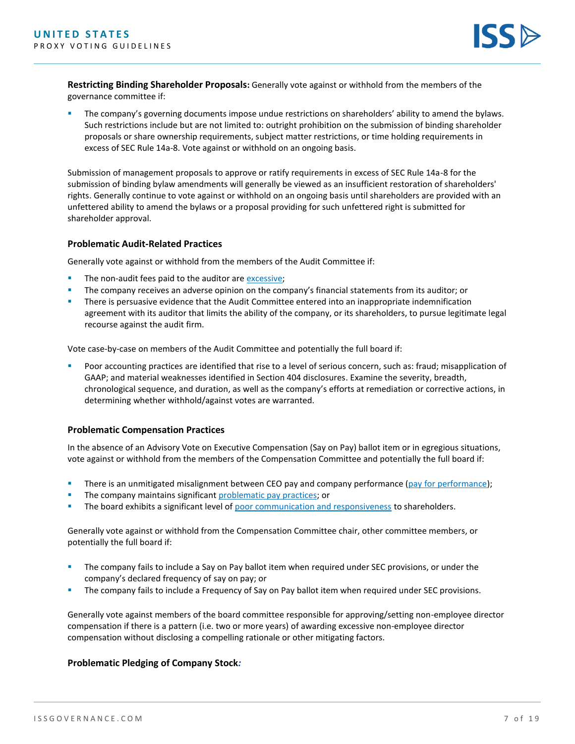**Restricting Binding Shareholder Proposals:** Generally vote against or withhold from the members of the governance committee if:

The company's governing documents impose undue restrictions on shareholders' ability to amend the bylaws. Such restrictions include but are not limited to: outright prohibition on the submission of binding shareholder proposals or share ownership requirements, subject matter restrictions, or time holding requirements in excess of SEC Rule 14a-8. Vote against or withhold on an ongoing basis.

Submission of management proposals to approve or ratify requirements in excess of SEC Rule 14a-8 for the submission of binding bylaw amendments will generally be viewed as an insufficient restoration of shareholders' rights. Generally continue to vote against or withhold on an ongoing basis until shareholders are provided with an unfettered ability to amend the bylaws or a proposal providing for such unfettered right is submitted for shareholder approval.

### **Problematic Audit-Related Practices**

Generally vote against or withhold from the members of the Audit Committee if:

- The non-audit fees paid to the auditor are excessive;
- The company receives an adverse opinion on the company's financial statements from its auditor; or
- There is persuasive evidence that the Audit Committee entered into an inappropriate indemnification agreement with its auditor that limits the ability of the company, or its shareholders, to pursue legitimate legal recourse against the audit firm.

Vote case-by-case on members of the Audit Committee and potentially the full board if:

Poor accounting practices are identified that rise to a level of serious concern, such as: fraud; misapplication of GAAP; and material weaknesses identified in Section 404 disclosures. Examine the severity, breadth, chronological sequence, and duration, as well as the company's efforts at remediation or corrective actions, in determining whether withhold/against votes are warranted.

### **Problematic Compensation Practices**

In the absence of an Advisory Vote on Executive Compensation (Say on Pay) ballot item or in egregious situations, vote against or withhold from the members of the Compensation Committee and potentially the full board if:

- There is an unmitigated misalignment between CEO pay and company performance [\(pay for performance\)](#page-14-0);
- The company maintains significant [problematic pay practices;](#page-15-0) or
- The board exhibits a significant level of [poor communication and responsiveness](#page-16-0) to shareholders.

Generally vote against or withhold from the Compensation Committee chair, other committee members, or potentially the full board if:

- The company fails to include a Say on Pay ballot item when required under SEC provisions, or under the company's declared frequency of say on pay; or
- The company fails to include a Frequency of Say on Pay ballot item when required under SEC provisions.

Generally vote against members of the board committee responsible for approving/setting non-employee director compensation if there is a pattern (i.e. two or more years) of awarding excessive non-employee director compensation without disclosing a compelling rationale or other mitigating factors.

### **Problematic Pledging of Company Stock***:*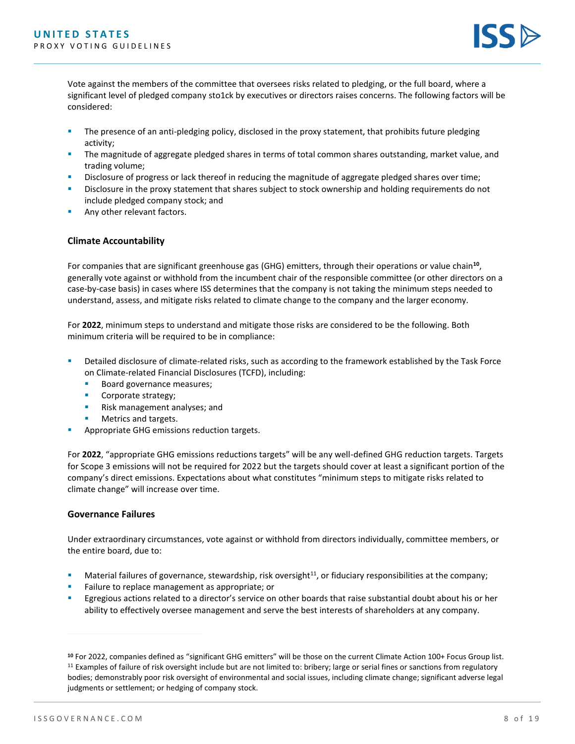Vote against the members of the committee that oversees risks related to pledging, or the full board, where a significant level of pledged company sto1ck by executives or directors raises concerns. The following factors will be considered:

- The presence of an anti-pledging policy, disclosed in the proxy statement, that prohibits future pledging activity;
- The magnitude of aggregate pledged shares in terms of total common shares outstanding, market value, and trading volume;
- Disclosure of progress or lack thereof in reducing the magnitude of aggregate pledged shares over time;
- Disclosure in the proxy statement that shares subject to stock ownership and holding requirements do not include pledged company stock; and
- Any other relevant factors.

### **Climate Accountability**

For companies that are significant greenhouse gas (GHG) emitters, through their operations or value chain**<sup>10</sup>** , generally vote against or withhold from the incumbent chair of the responsible committee (or other directors on a case-by-case basis) in cases where ISS determines that the company is not taking the minimum steps needed to understand, assess, and mitigate risks related to climate change to the company and the larger economy.

For **2022**, minimum steps to understand and mitigate those risks are considered to be the following. Both minimum criteria will be required to be in compliance:

- Detailed disclosure of climate-related risks, such as according to the framework established by the Task Force on Climate-related Financial Disclosures (TCFD), including:
	- Board governance measures;
	- Corporate strategy;
	- Risk management analyses; and
	- Metrics and targets.
- Appropriate GHG emissions reduction targets.

For **2022**, "appropriate GHG emissions reductions targets" will be any well-defined GHG reduction targets. Targets for Scope 3 emissions will not be required for 2022 but the targets should cover at least a significant portion of the company's direct emissions. Expectations about what constitutes "minimum steps to mitigate risks related to climate change" will increase over time.

### **Governance Failures**

Under extraordinary circumstances, vote against or withhold from directors individually, committee members, or the entire board, due to:

- **■** Material failures of governance, stewardship, risk oversight<sup>11</sup>, or fiduciary responsibilities at the company;
- Failure to replace management as appropriate; or
- Egregious actions related to a director's service on other boards that raise substantial doubt about his or her ability to effectively oversee management and serve the best interests of shareholders at any company.

**<sup>10</sup>** For 2022, companies defined as "significant GHG emitters" will be those on the current Climate Action 100+ Focus Group list. <sup>11</sup> Examples of failure of risk oversight include but are not limited to: bribery; large or serial fines or sanctions from regulatory bodies; demonstrably poor risk oversight of environmental and social issues, including climate change; significant adverse legal judgments or settlement; or hedging of company stock.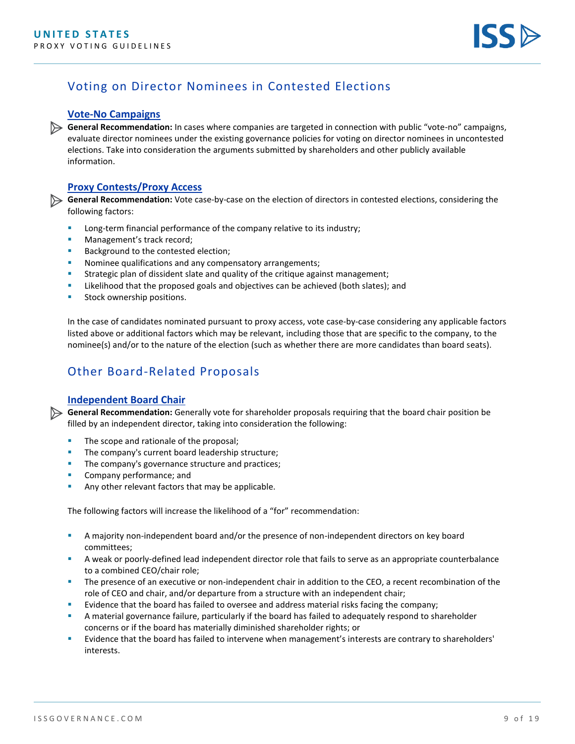# Voting on Director Nominees in Contested Elections

### **Vote-No Campaigns**

**General Recommendation:** In cases where companies are targeted in connection with public "vote-no" campaigns, evaluate director nominees under the existing governance policies for voting on director nominees in uncontested elections. Take into consideration the arguments submitted by shareholders and other publicly available information.

### **Proxy Contests/Proxy Access**

**General Recommendation:** Vote case-by-case on the election of directors in contested elections, considering the following factors:

- Long-term financial performance of the company relative to its industry;
- Management's track record;
- Background to the contested election;
- Nominee qualifications and any compensatory arrangements;
- Strategic plan of dissident slate and quality of the critique against management;
- Likelihood that the proposed goals and objectives can be achieved (both slates); and
- Stock ownership positions.

In the case of candidates nominated pursuant to proxy access, vote case-by-case considering any applicable factors listed above or additional factors which may be relevant, including those that are specific to the company, to the nominee(s) and/or to the nature of the election (such as whether there are more candidates than board seats).

### Other Board-Related Proposals

### **Independent Board Chair**

**General Recommendation:** Generally vote for shareholder proposals requiring that the board chair position be filled by an independent director, taking into consideration the following:

- The scope and rationale of the proposal;
- The company's current board leadership structure;
- The company's governance structure and practices;
- Company performance; and
- Any other relevant factors that may be applicable.

The following factors will increase the likelihood of a "for" recommendation:

- A majority non-independent board and/or the presence of non-independent directors on key board committees;
- A weak or poorly-defined lead independent director role that fails to serve as an appropriate counterbalance to a combined CEO/chair role;
- The presence of an executive or non-independent chair in addition to the CEO, a recent recombination of the role of CEO and chair, and/or departure from a structure with an independent chair;
- Evidence that the board has failed to oversee and address material risks facing the company;
- A material governance failure, particularly if the board has failed to adequately respond to shareholder concerns or if the board has materially diminished shareholder rights; or
- Evidence that the board has failed to intervene when management's interests are contrary to shareholders' interests.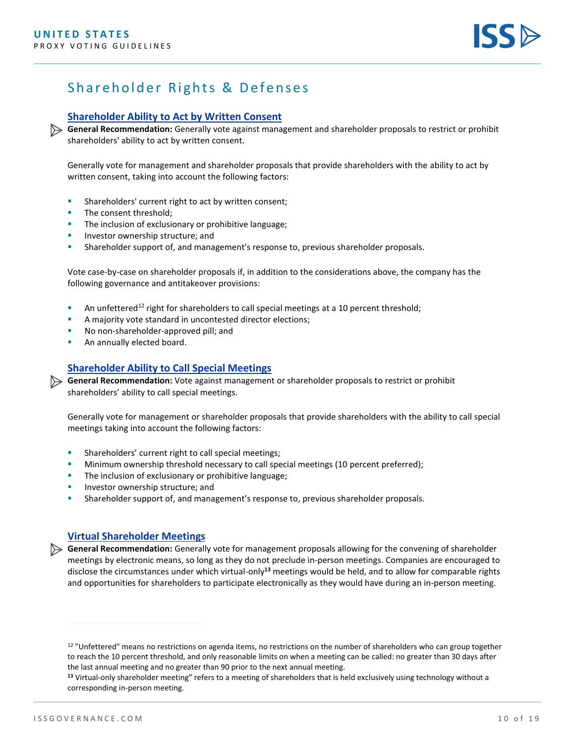# Shareholder Rights & Defenses

### **Shareholder Ability to Act by Written Consent**

**General Recommendation:** Generally vote against management and shareholder proposals to restrict or prohibit shareholders' ability to act by written consent.

Generally vote for management and shareholder proposals that provide shareholders with the ability to act by written consent, taking into account the following factors:

- Shareholders' current right to act by written consent;
- **·** The consent threshold;
- The inclusion of exclusionary or prohibitive language;
- **·** Investor ownership structure; and
- **EXECT** Shareholder support of, and management's response to, previous shareholder proposals.

Vote case-by-case on shareholder proposals if, in addition to the considerations above, the company has the following governance and antitakeover provisions:

- An unfettered<sup>12</sup> right for shareholders to call special meetings at a 10 percent threshold;
- A majority vote standard in uncontested director elections;
- No non-shareholder-approved pill; and
- An annually elected board.

### **Shareholder Ability to Call Special Meetings**

**General Recommendation:** Vote against management or shareholder proposals to restrict or prohibit shareholders' ability to call special meetings.

Generally vote for management or shareholder proposals that provide shareholders with the ability to call special meetings taking into account the following factors:

- **EXECUTE:** Shareholders' current right to call special meetings;
- **■** Minimum ownership threshold necessary to call special meetings (10 percent preferred);
- The inclusion of exclusionary or prohibitive language;
- Investor ownership structure; and
- Shareholder support of, and management's response to, previous shareholder proposals.

### **Virtual Shareholder Meetings**

**General Recommendation:** Generally vote for management proposals allowing for the convening of shareholder meetings by electronic means, so long as they do not preclude in-person meetings. Companies are encouraged to disclose the circumstances under which virtual-only**<sup>13</sup>** meetings would be held, and to allow for comparable rights and opportunities for shareholders to participate electronically as they would have during an in-person meeting.

<sup>&</sup>lt;sup>12</sup> "Unfettered" means no restrictions on agenda items, no restrictions on the number of shareholders who can group together to reach the 10 percent threshold, and only reasonable limits on when a meeting can be called: no greater than 30 days after the last annual meeting and no greater than 90 prior to the next annual meeting.

**<sup>13</sup>** Virtual-only shareholder meeting" refers to a meeting of shareholders that is held exclusively using technology without a corresponding in-person meeting.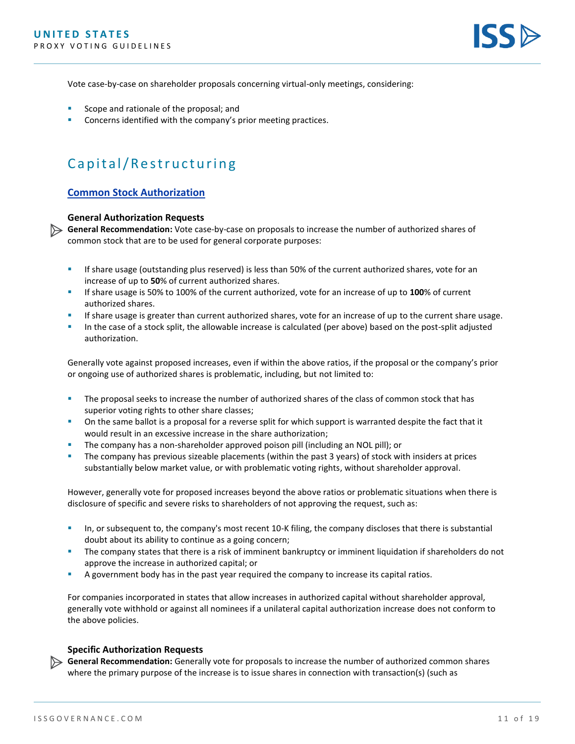Vote case-by-case on shareholder proposals concerning virtual-only meetings, considering:

- Scope and rationale of the proposal; and
- Concerns identified with the company's prior meeting practices.

# Capital/Restructuring

### **Common Stock Authorization**

### **General Authorization Requests**

**General Recommendation:** Vote case-by-case on proposals to increase the number of authorized shares of common stock that are to be used for general corporate purposes:

- If share usage (outstanding plus reserved) is less than 50% of the current authorized shares, vote for an increase of up to **50**% of current authorized shares.
- If share usage is 50% to 100% of the current authorized, vote for an increase of up to 100% of current authorized shares.
- If share usage is greater than current authorized shares, vote for an increase of up to the current share usage.
- In the case of a stock split, the allowable increase is calculated (per above) based on the post-split adjusted authorization.

Generally vote against proposed increases, even if within the above ratios, if the proposal or the company's prior or ongoing use of authorized shares is problematic, including, but not limited to:

- The proposal seeks to increase the number of authorized shares of the class of common stock that has superior voting rights to other share classes;
- On the same ballot is a proposal for a reverse split for which support is warranted despite the fact that it would result in an excessive increase in the share authorization;
- The company has a non-shareholder approved poison pill (including an NOL pill); or
- The company has previous sizeable placements (within the past 3 years) of stock with insiders at prices substantially below market value, or with problematic voting rights, without shareholder approval.

However, generally vote for proposed increases beyond the above ratios or problematic situations when there is disclosure of specific and severe risks to shareholders of not approving the request, such as:

- In, or subsequent to, the company's most recent 10-K filing, the company discloses that there is substantial doubt about its ability to continue as a going concern;
- The company states that there is a risk of imminent bankruptcy or imminent liquidation if shareholders do not approve the increase in authorized capital; or
- A government body has in the past year required the company to increase its capital ratios.

For companies incorporated in states that allow increases in authorized capital without shareholder approval, generally vote withhold or against all nominees if a unilateral capital authorization increase does not conform to the above policies.

#### **Specific Authorization Requests**

**General Recommendation:** Generally vote for proposals to increase the number of authorized common shares where the primary purpose of the increase is to issue shares in connection with transaction(s) (such as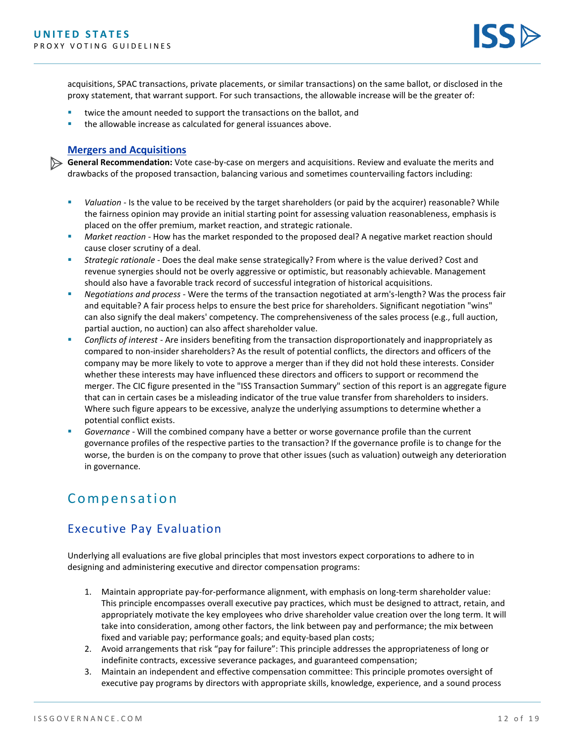acquisitions, SPAC transactions, private placements, or similar transactions) on the same ballot, or disclosed in the proxy statement, that warrant support. For such transactions, the allowable increase will be the greater of:

- twice the amount needed to support the transactions on the ballot, and
- the allowable increase as calculated for general issuances above.

### **Mergers and Acquisitions**

**General Recommendation:** Vote case-by-case on mergers and acquisitions. Review and evaluate the merits and drawbacks of the proposed transaction, balancing various and sometimes countervailing factors including:

- Valuation Is the value to be received by the target shareholders (or paid by the acquirer) reasonable? While the fairness opinion may provide an initial starting point for assessing valuation reasonableness, emphasis is placed on the offer premium, market reaction, and strategic rationale.
- *Market reaction* How has the market responded to the proposed deal? A negative market reaction should cause closer scrutiny of a deal.
- *Strategic rationale* Does the deal make sense strategically? From where is the value derived? Cost and revenue synergies should not be overly aggressive or optimistic, but reasonably achievable. Management should also have a favorable track record of successful integration of historical acquisitions.
- *Negotiations and process* Were the terms of the transaction negotiated at arm's-length? Was the process fair and equitable? A fair process helps to ensure the best price for shareholders. Significant negotiation "wins" can also signify the deal makers' competency. The comprehensiveness of the sales process (e.g., full auction, partial auction, no auction) can also affect shareholder value.
- *Conflicts of interest* Are insiders benefiting from the transaction disproportionately and inappropriately as compared to non-insider shareholders? As the result of potential conflicts, the directors and officers of the company may be more likely to vote to approve a merger than if they did not hold these interests. Consider whether these interests may have influenced these directors and officers to support or recommend the merger. The CIC figure presented in the "ISS Transaction Summary" section of this report is an aggregate figure that can in certain cases be a misleading indicator of the true value transfer from shareholders to insiders. Where such figure appears to be excessive, analyze the underlying assumptions to determine whether a potential conflict exists.
- Governance Will the combined company have a better or worse governance profile than the current governance profiles of the respective parties to the transaction? If the governance profile is to change for the worse, the burden is on the company to prove that other issues (such as valuation) outweigh any deterioration in governance.

# **Compensation**

### Executive Pay Evaluation

Underlying all evaluations are five global principles that most investors expect corporations to adhere to in designing and administering executive and director compensation programs:

- 1. Maintain appropriate pay-for-performance alignment, with emphasis on long-term shareholder value: This principle encompasses overall executive pay practices, which must be designed to attract, retain, and appropriately motivate the key employees who drive shareholder value creation over the long term. It will take into consideration, among other factors, the link between pay and performance; the mix between fixed and variable pay; performance goals; and equity-based plan costs;
- 2. Avoid arrangements that risk "pay for failure": This principle addresses the appropriateness of long or indefinite contracts, excessive severance packages, and guaranteed compensation;
- 3. Maintain an independent and effective compensation committee: This principle promotes oversight of executive pay programs by directors with appropriate skills, knowledge, experience, and a sound process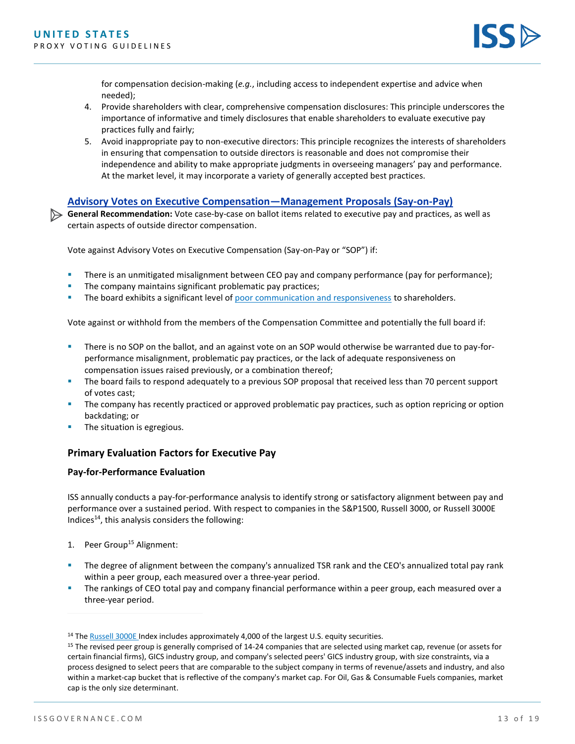for compensation decision-making (*e.g.*, including access to independent expertise and advice when needed);

- 4. Provide shareholders with clear, comprehensive compensation disclosures: This principle underscores the importance of informative and timely disclosures that enable shareholders to evaluate executive pay practices fully and fairly;
- 5. Avoid inappropriate pay to non-executive directors: This principle recognizes the interests of shareholders in ensuring that compensation to outside directors is reasonable and does not compromise their independence and ability to make appropriate judgments in overseeing managers' pay and performance. At the market level, it may incorporate a variety of generally accepted best practices.

### **Advisory Votes on Executive Compensation—Management Proposals (Say-on-Pay)**

**General Recommendation:** Vote case-by-case on ballot items related to executive pay and practices, as well as certain aspects of outside director compensation.

Vote against Advisory Votes on Executive Compensation (Say-on-Pay or "SOP") if:

- There is an unmitigated misalignment between CEO pay and company performance [\(pay for performance\)](#page-14-0);
- **The company maintains significant [problematic pay practices;](#page-15-0)**
- The board exhibits a significant level of [poor communication and responsiveness](#page-16-0) to shareholders.

Vote against or withhold from the members of the Compensation Committee and potentially the full board if:

- There is no SOP on the ballot, and an against vote on an SOP would otherwise be warranted due to pay-forperformance misalignment, problematic pay practices, or the lack of adequate responsiveness on compensation issues raised previously, or a combination thereof;
- The board fails to respond adequately to a previous SOP proposal that received less than 70 percent support of votes cast;
- The company has recently practiced or approved problematic pay practices, such as option repricing or option backdating; or
- The situation is egregious.

### **Primary Evaluation Factors for Executive Pay**

### <span id="page-14-0"></span>**Pay-for-Performance Evaluation**

ISS annually conducts a pay-for-performance analysis to identify strong or satisfactory alignment between pay and performance over a sustained period. With respect to companies in the S&P1500, Russell 3000, or Russell 3000E Indices $^{14}$ , this analysis considers the following:

- 1. Peer Group<sup>15</sup> Alignment:
- The degree of alignment between the company's annualized TSR rank and the CEO's annualized total pay rank within a peer group, each measured over a three-year period.
- The rankings of CEO total pay and company financial performance within a peer group, each measured over a three-year period.

<sup>&</sup>lt;sup>14</sup> Th[e Russell 3000E](https://www.russell.com/indexes/americas/indexes/fact-sheet.page?ic=US4000) Index includes approximately 4,000 of the largest U.S. equity securities.

<sup>&</sup>lt;sup>15</sup> The revised peer group is generally comprised of 14-24 companies that are selected using market cap, revenue (or assets for certain financial firms), GICS industry group, and company's selected peers' GICS industry group, with size constraints, via a process designed to select peers that are comparable to the subject company in terms of revenue/assets and industry, and also within a market-cap bucket that is reflective of the company's market cap. For Oil, Gas & Consumable Fuels companies, market cap is the only size determinant.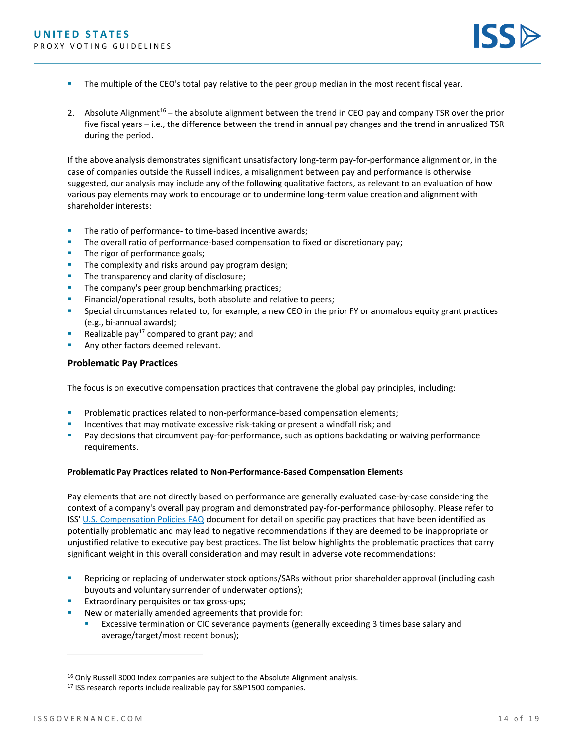- The multiple of the CEO's total pay relative to the peer group median in the most recent fiscal year.
- 2. Absolute Alignment<sup>16</sup> the absolute alignment between the trend in CEO pay and company TSR over the prior five fiscal years – i.e., the difference between the trend in annual pay changes and the trend in annualized TSR during the period.

If the above analysis demonstrates significant unsatisfactory long-term pay-for-performance alignment or, in the case of companies outside the Russell indices, a misalignment between pay and performance is otherwise suggested, our analysis may include any of the following qualitative factors, as relevant to an evaluation of how various pay elements may work to encourage or to undermine long-term value creation and alignment with shareholder interests:

- The ratio of performance- to time-based incentive awards;
- **•** The overall ratio of performance-based compensation to fixed or discretionary pay;
- The rigor of performance goals;
- **•** The complexity and risks around pay program design;
- **•** The transparency and clarity of disclosure;
- The company's peer group benchmarking practices;
- **EXECTE:** Financial/operational results, both absolute and relative to peers;
- Special circumstances related to, for example, a new CEO in the prior FY or anomalous equity grant practices (e.g., bi-annual awards);
- Realizable pay<sup>17</sup> compared to grant pay; and
- Any other factors deemed relevant.

### <span id="page-15-0"></span>**Problematic Pay Practices**

The focus is on executive compensation practices that contravene the global pay principles, including:

- Problematic practices related to non-performance-based compensation elements;
- Incentives that may motivate excessive risk-taking or present a windfall risk; and
- Pay decisions that circumvent pay-for-performance, such as options backdating or waiving performance requirements.

#### **Problematic Pay Practices related to Non-Performance-Based Compensation Elements**

Pay elements that are not directly based on performance are generally evaluated case-by-case considering the context of a company's overall pay program and demonstrated pay-for-performance philosophy. Please refer to ISS' [U.S. Compensation Policies FAQ](https://www.issgovernance.com/file/policy/active/americas/US-Compensation-Policies-FAQ.pdf) document for detail on specific pay practices that have been identified as potentially problematic and may lead to negative recommendations if they are deemed to be inappropriate or unjustified relative to executive pay best practices. The list below highlights the problematic practices that carry significant weight in this overall consideration and may result in adverse vote recommendations:

- Repricing or replacing of underwater stock options/SARs without prior shareholder approval (including cash buyouts and voluntary surrender of underwater options);
- Extraordinary perquisites or tax gross-ups;
- New or materially amended agreements that provide for:
	- Excessive termination or CIC severance payments (generally exceeding 3 times base salary and average/target/most recent bonus);

<sup>&</sup>lt;sup>16</sup> Only Russell 3000 Index companies are subject to the Absolute Alignment analysis.

<sup>17</sup> ISS research reports include realizable pay for S&P1500 companies.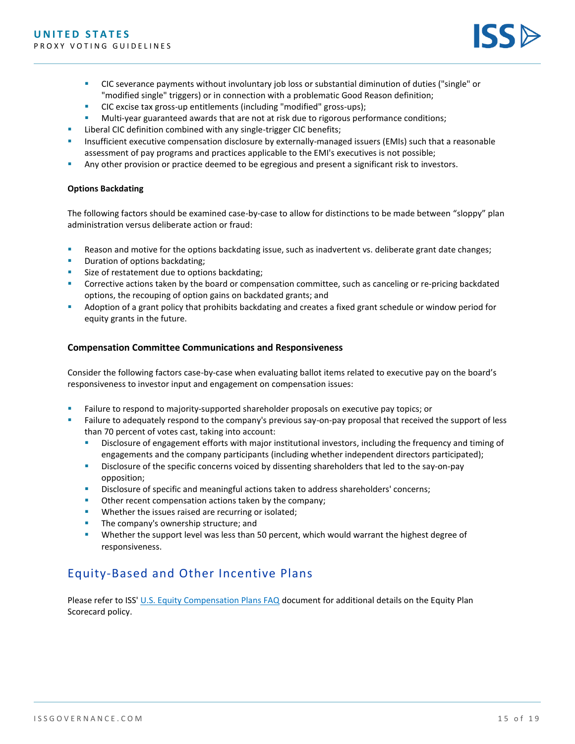

- CIC severance payments without involuntary job loss or substantial diminution of duties ("single" or "modified single" triggers) or in connection with a problematic Good Reason definition;
- CIC excise tax gross-up entitlements (including "modified" gross-ups);
- Multi-year guaranteed awards that are not at risk due to rigorous performance conditions;
- Liberal CIC definition combined with any single-trigger CIC benefits;
- Insufficient executive compensation disclosure by externally-managed issuers (EMIs) such that a reasonable assessment of pay programs and practices applicable to the EMI's executives is not possible;
- Any other provision or practice deemed to be egregious and present a significant risk to investors.

### **Options Backdating**

The following factors should be examined case-by-case to allow for distinctions to be made between "sloppy" plan administration versus deliberate action or fraud:

- Reason and motive for the options backdating issue, such as inadvertent vs. deliberate grant date changes;
- Duration of options backdating;
- Size of restatement due to options backdating;
- Corrective actions taken by the board or compensation committee, such as canceling or re-pricing backdated options, the recouping of option gains on backdated grants; and
- Adoption of a grant policy that prohibits backdating and creates a fixed grant schedule or window period for equity grants in the future.

### <span id="page-16-0"></span>**Compensation Committee Communications and Responsiveness**

Consider the following factors case-by-case when evaluating ballot items related to executive pay on the board's responsiveness to investor input and engagement on compensation issues:

- Failure to respond to majority-supported shareholder proposals on executive pay topics; or
- Failure to adequately respond to the company's previous say-on-pay proposal that received the support of less than 70 percent of votes cast, taking into account:
	- **EXECT** Disclosure of engagement efforts with major institutional investors, including the frequency and timing of engagements and the company participants (including whether independent directors participated);
	- **EXECUTE:** Disclosure of the specific concerns voiced by dissenting shareholders that led to the say-on-pay opposition;
	- **EXEDENTIFY Disclosure of specific and meaningful actions taken to address shareholders' concerns;**
	- **Other recent compensation actions taken by the company;**
	- **Whether the issues raised are recurring or isolated;**
	- The company's ownership structure; and
	- **■** Whether the support level was less than 50 percent, which would warrant the highest degree of responsiveness.

### Equity-Based and Other Incentive Plans

Please refer to ISS' [U.S. Equity Compensation Plans FAQ](https://www.issgovernance.com/file/policy/active/americas/US-Equity-Compensation-Plans-FAQ.pdf) document for additional details on the Equity Plan Scorecard policy.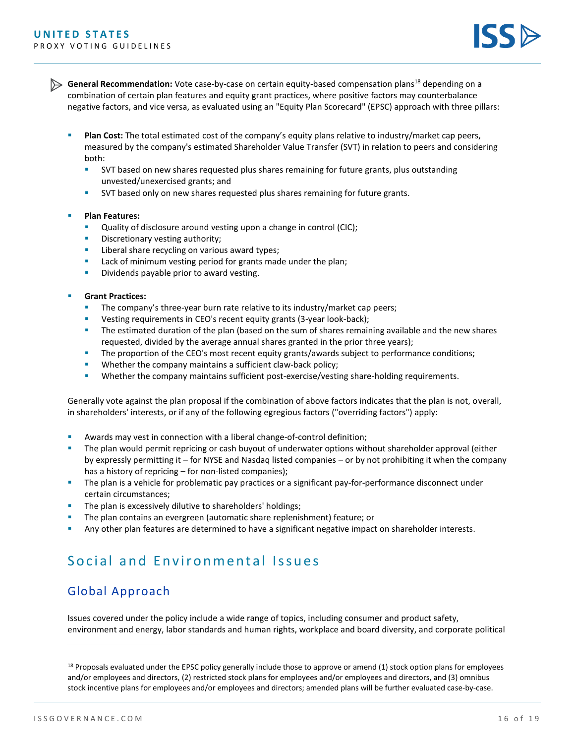**General Recommendation:** Vote case-by-case on certain equity-based compensation plans<sup>18</sup> depending on a combination of certain plan features and equity grant practices, where positive factors may counterbalance negative factors, and vice versa, as evaluated using an "Equity Plan Scorecard" (EPSC) approach with three pillars:

- Plan Cost: The total estimate[d cost](file://///PROC-COR-NFS001/ro_ro_office1/ISS/USResearch/Policy%20Communications/2015%20Policies/Final%20templates/US/2014%20EPSC%20Policy%20template-v6.docx%23SVT) of the company's equity plans relative to industry/market cap peers, measured by the company's estimated Shareholder Value Transfer (SVT) in relation to peers and considering both:
	- **SVT based on new shares requested plus shares remaining for future grants, plus outstanding** unvested/unexercised grants; and
	- **EXECT** SVT based only on new shares requested plus shares remaining for future grants.

### ▪ **Plan Features:**

- Quality of disclosure around vesting upon a change in control (CIC);
- Discretionary vesting authority;
- **EXECTE:** Liberal share recycling on various award types;
- Lack of minimum vesting period for grants made under the plan;
- Dividends payable prior to award vesting.

### ▪ **Grant Practices:**

- The company's three-yea[r burn rate](file://///PROC-COR-NFS001/ro_ro_office1/ISS/USResearch/Policy%20Communications/2015%20Policies/Final%20templates/US/2014%20EPSC%20Policy%20template-v6.docx%23Burnrate) relative to its industry/market cap peers;
- **E** Vesting requirements in CEO's recent equity grants (3-year look-back);
- **•** The estimated duration of the plan (based on the sum of shares remaining available and the new shares requested, divided by the average annual shares granted in the prior three years);
- **•** The proportion of the CEO's most recent equity grants/awards subject to performance conditions;
- **Whether the company maintains a sufficient claw-back policy;**
- **•** Whether the company maintains sufficient post-exercise/vesting share-holding requirements.

Generally vote against the plan proposal if the combination of above factors indicates that the plan is not, overall, in shareholders' interests, or if any of the following egregious factors ("overriding factors") apply:

- Awards may vest in connection with a [liberal change-of-control definition;](file://///PROC-COR-NFS001/ro_ro_office1/ISS/USResearch/Policy%20Communications/2015%20Policies/Final%20templates/US/2014%20EPSC%20Policy%20template-v6.docx%23LiberalCIC)
- The plan would permit [repricing](file://///PROC-COR-NFS001/ro_ro_office1/ISS/USResearch/Policy%20Communications/2015%20Policies/Final%20templates/US/2014%20EPSC%20Policy%20template-v6.docx%23Repricing) or cash buyout of underwater options without shareholder approval (either by expressly permitting it – for NYSE and Nasdaq listed companies – or by not prohibiting it when the company has a history of repricing – for non-listed companies);
- **•** The plan is a vehicle fo[r problematic pay practices](file://///PROC-COR-NFS001/ro_ro_office1/ISS/USResearch/Policy%20Communications/2015%20Policies/Final%20templates/US/2014%20EPSC%20Policy%20template-v6.docx%23PPP_Equity_Plans) or a significan[t pay-for-performance disconnect](file://///PROC-COR-NFS001/ro_ro_office1/ISS/USResearch/Policy%20Communications/2015%20Policies/Final%20templates/US/2014%20EPSC%20Policy%20template-v6.docx%23P4P_Equity_Plans) under certain circumstances;
- The plan is excessively dilutive to shareholders' holdings;
- The plan contains an evergreen (automatic share replenishment) feature; or
- Any other plan features are determined to have a significant negative impact on shareholder interests.

# Social and Environmental Issues

# Global Approach

Issues covered under the policy include a wide range of topics, including consumer and product safety, environment and energy, labor standards and human rights, workplace and board diversity, and corporate political

 $18$  Proposals evaluated under the EPSC policy generally include those to approve or amend (1) stock option plans for employees and/or employees and directors, (2) restricted stock plans for employees and/or employees and directors, and (3) omnibus stock incentive plans for employees and/or employees and directors; amended plans will be further evaluated case-by-case.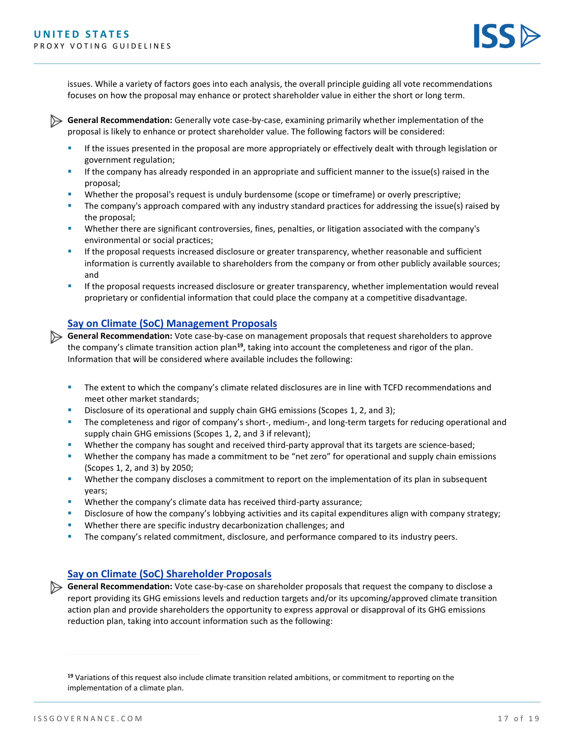issues. While a variety of factors goes into each analysis, the overall principle guiding all vote recommendations focuses on how the proposal may enhance or protect shareholder value in either the short or long term.

**General Recommendation:** Generally vote case-by-case, examining primarily whether implementation of the proposal is likely to enhance or protect shareholder value. The following factors will be considered:

- If the issues presented in the proposal are more appropriately or effectively dealt with through legislation or government regulation;
- If the company has already responded in an appropriate and sufficient manner to the issue(s) raised in the proposal;
- Whether the proposal's request is unduly burdensome (scope or timeframe) or overly prescriptive;
- The company's approach compared with any industry standard practices for addressing the issue(s) raised by the proposal;
- Whether there are significant controversies, fines, penalties, or litigation associated with the company's environmental or social practices;
- If the proposal requests increased disclosure or greater transparency, whether reasonable and sufficient information is currently available to shareholders from the company or from other publicly available sources; and
- If the proposal requests increased disclosure or greater transparency, whether implementation would reveal proprietary or confidential information that could place the company at a competitive disadvantage.

### **Say on Climate (SoC) Management Proposals**

**General Recommendation:** Vote case-by-case on management proposals that request shareholders to approve the company's climate transition action plan**<sup>19</sup>**, taking into account the completeness and rigor of the plan. Information that will be considered where available includes the following:

- The extent to which the company's climate related disclosures are in line with TCFD recommendations and meet other market standards;
- Disclosure of its operational and supply chain GHG emissions (Scopes 1, 2, and 3);
- The completeness and rigor of company's short-, medium-, and long-term targets for reducing operational and supply chain GHG emissions (Scopes 1, 2, and 3 if relevant);
- Whether the company has sought and received third-party approval that its targets are science-based;
- Whether the company has made a commitment to be "net zero" for operational and supply chain emissions (Scopes 1, 2, and 3) by 2050;
- Whether the company discloses a commitment to report on the implementation of its plan in subsequent years;
- Whether the company's climate data has received third-party assurance;
- Disclosure of how the company's lobbying activities and its capital expenditures align with company strategy;
- Whether there are specific industry decarbonization challenges; and
- The company's related commitment, disclosure, and performance compared to its industry peers.

### **Say on Climate (SoC) Shareholder Proposals**

**General Recommendation:** Vote case-by-case on shareholder proposals that request the company to disclose a report providing its GHG emissions levels and reduction targets and/or its upcoming/approved climate transition action plan and provide shareholders the opportunity to express approval or disapproval of its GHG emissions reduction plan, taking into account information such as the following:

**<sup>19</sup>** Variations of this request also include climate transition related ambitions, or commitment to reporting on the implementation of a climate plan.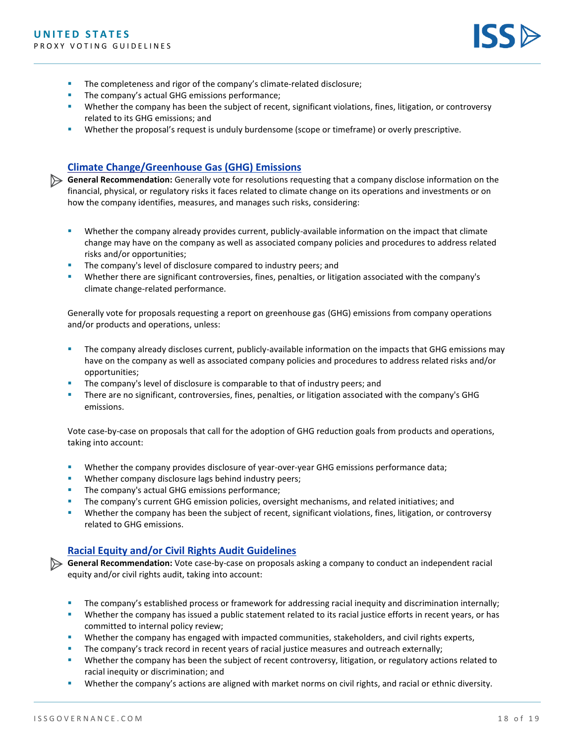- The completeness and rigor of the company's climate-related disclosure;
- **The company's actual GHG emissions performance;**
- Whether the company has been the subject of recent, significant violations, fines, litigation, or controversy related to its GHG emissions; and
- **•** Whether the proposal's request is unduly burdensome (scope or timeframe) or overly prescriptive.

### **Climate Change/Greenhouse Gas (GHG) Emissions**

**General Recommendation:** Generally vote for resolutions requesting that a company disclose information on the financial, physical, or regulatory risks it faces related to climate change on its operations and investments or on how the company identifies, measures, and manages such risks, considering:

- Whether the company already provides current, publicly-available information on the impact that climate change may have on the company as well as associated company policies and procedures to address related risks and/or opportunities;
- **E** The company's level of disclosure compared to industry peers; and
- Whether there are significant controversies, fines, penalties, or litigation associated with the company's climate change-related performance.

Generally vote for proposals requesting a report on greenhouse gas (GHG) emissions from company operations and/or products and operations, unless:

- The company already discloses current, publicly-available information on the impacts that GHG emissions may have on the company as well as associated company policies and procedures to address related risks and/or opportunities;
- The company's level of disclosure is comparable to that of industry peers; and
- There are no significant, controversies, fines, penalties, or litigation associated with the company's GHG emissions.

Vote case-by-case on proposals that call for the adoption of GHG reduction goals from products and operations, taking into account:

- **Whether the company provides disclosure of year-over-year GHG emissions performance data;**
- Whether company disclosure lags behind industry peers;
- The company's actual GHG emissions performance;
- The company's current GHG emission policies, oversight mechanisms, and related initiatives; and
- Whether the company has been the subject of recent, significant violations, fines, litigation, or controversy related to GHG emissions.

### **Racial Equity and/or Civil Rights Audit Guidelines**

**General Recommendation:** Vote case-by-case on proposals asking a company to conduct an independent racial equity and/or civil rights audit, taking into account:

- The company's established process or framework for addressing racial inequity and discrimination internally;
- Whether the company has issued a public statement related to its racial justice efforts in recent years, or has committed to internal policy review;
- **•** Whether the company has engaged with impacted communities, stakeholders, and civil rights experts,
- The company's track record in recent years of racial justice measures and outreach externally;
- Whether the company has been the subject of recent controversy, litigation, or regulatory actions related to racial inequity or discrimination; and
- **•** Whether the company's actions are aligned with market norms on civil rights, and racial or ethnic diversity.